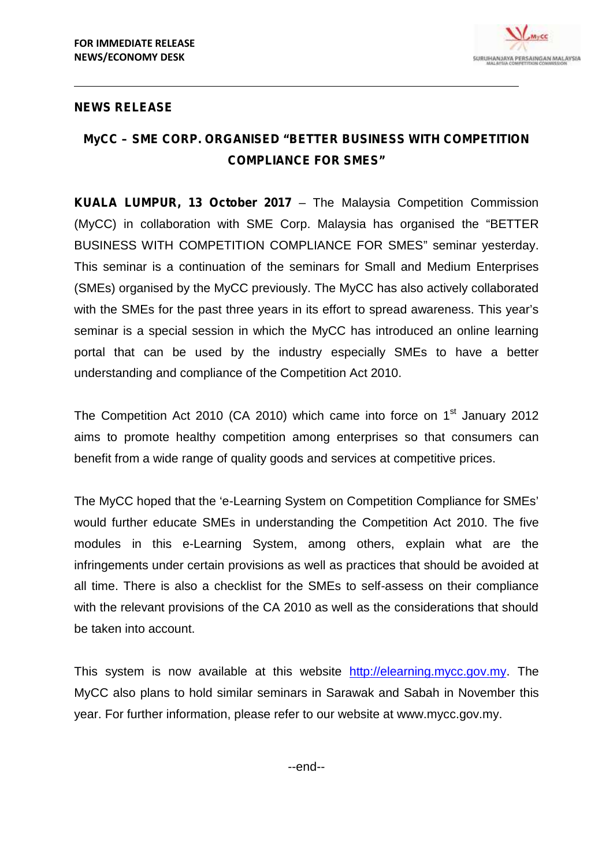

## **NEWS RELEASE**

## **MyCC – SME CORP. ORGANISED "BETTER BUSINESS WITH COMPETITION COMPLIANCE FOR SMES"**

**KUALA LUMPUR, 13 October 2017** – The Malaysia Competition Commission (MyCC) in collaboration with SME Corp. Malaysia has organised the "BETTER BUSINESS WITH COMPETITION COMPLIANCE FOR SMES" seminar yesterday. This seminar is a continuation of the seminars for Small and Medium Enterprises (SMEs) organised by the MyCC previously. The MyCC has also actively collaborated with the SMEs for the past three years in its effort to spread awareness. This year's seminar is a special session in which the MyCC has introduced an online learning portal that can be used by the industry especially SMEs to have a better understanding and compliance of the Competition Act 2010.

The Competition Act 2010 (CA 2010) which came into force on  $1<sup>st</sup>$  January 2012 aims to promote healthy competition among enterprises so that consumers can benefit from a wide range of quality goods and services at competitive prices.

The MyCC hoped that the 'e-Learning System on Competition Compliance for SMEs' would further educate SMEs in understanding the Competition Act 2010. The five modules in this e-Learning System, among others, explain what are the infringements under certain provisions as well as practices that should be avoided at all time. There is also a checklist for the SMEs to self-assess on their compliance with the relevant provisions of the CA 2010 as well as the considerations that should be taken into account.

This system is now available at this website http://elearning.mycc.gov.my. The MyCC also plans to hold similar seminars in Sarawak and Sabah in November this year. For further information, please refer to our website at www.mycc.gov.my.

--end--